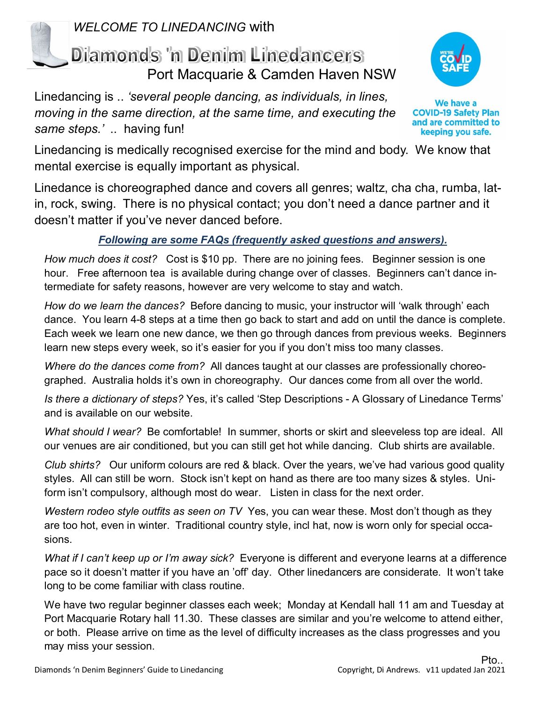

*WELCOME TO LINEDANCING* with

## Dilamonds 'n Denim Linedancers Port Macquarie & Camden Haven NSW

Linedancing is .. *'several people dancing, as individuals, in lines, moving in the same direction, at the same time, and executing the same steps.'* .. having fun!



We have a **COVID-19 Safety Plan** and are committed to keeping you safe.

Linedancing is medically recognised exercise for the mind and body. We know that mental exercise is equally important as physical.

Linedance is choreographed dance and covers all genres; waltz, cha cha, rumba, latin, rock, swing. There is no physical contact; you don't need a dance partner and it doesn't matter if you've never danced before.

## *Following are some FAQs (frequently asked questions and answers).*

*How much does it cost?* Cost is \$10 pp. There are no joining fees. Beginner session is one hour. Free afternoon tea is available during change over of classes. Beginners can't dance intermediate for safety reasons, however are very welcome to stay and watch.

*How do we learn the dances?* Before dancing to music, your instructor will 'walk through' each dance. You learn 4-8 steps at a time then go back to start and add on until the dance is complete. Each week we learn one new dance, we then go through dances from previous weeks. Beginners learn new steps every week, so it's easier for you if you don't miss too many classes.

*Where do the dances come from?* All dances taught at our classes are professionally choreographed. Australia holds it's own in choreography. Our dances come from all over the world.

*Is there a dictionary of steps?* Yes, it's called 'Step Descriptions - A Glossary of Linedance Terms' and is available on our website.

*What should I wear?* Be comfortable! In summer, shorts or skirt and sleeveless top are ideal. All our venues are air conditioned, but you can still get hot while dancing. Club shirts are available.

*Club shirts?* Our uniform colours are red & black. Over the years, we've had various good quality styles. All can still be worn. Stock isn't kept on hand as there are too many sizes & styles. Uniform isn't compulsory, although most do wear. Listen in class for the next order.

*Western rodeo style outfits as seen on TV* Yes, you can wear these. Most don't though as they are too hot, even in winter. Traditional country style, incl hat, now is worn only for special occasions.

*What if I can't keep up or I'm away sick?* Everyone is different and everyone learns at a difference pace so it doesn't matter if you have an 'off' day. Other linedancers are considerate. It won't take long to be come familiar with class routine.

We have two regular beginner classes each week; Monday at Kendall hall 11 am and Tuesday at Port Macquarie Rotary hall 11.30. These classes are similar and you're welcome to attend either, or both. Please arrive on time as the level of difficulty increases as the class progresses and you may miss your session.